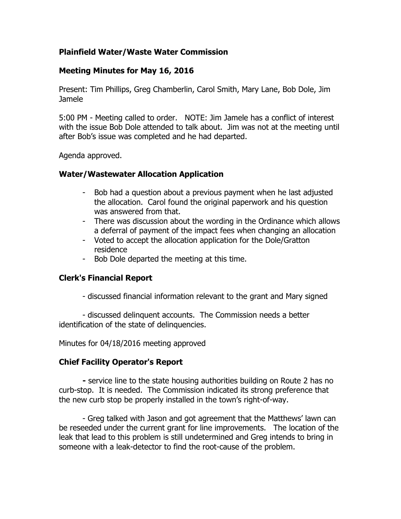## **Plainfield Water/Waste Water Commission**

#### **Meeting Minutes for May 16, 2016**

Present: Tim Phillips, Greg Chamberlin, Carol Smith, Mary Lane, Bob Dole, Jim Jamele

5:00 PM - Meeting called to order. NOTE: Jim Jamele has a conflict of interest with the issue Bob Dole attended to talk about. Jim was not at the meeting until after Bob's issue was completed and he had departed.

Agenda approved.

#### **Water/Wastewater Allocation Application**

- Bob had a question about a previous payment when he last adjusted the allocation. Carol found the original paperwork and his question was answered from that.
- There was discussion about the wording in the Ordinance which allows a deferral of payment of the impact fees when changing an allocation
- Voted to accept the allocation application for the Dole/Gratton residence
- Bob Dole departed the meeting at this time.

## **Clerk's Financial Report**

- discussed financial information relevant to the grant and Mary signed

- discussed delinquent accounts. The Commission needs a better identification of the state of delinquencies.

Minutes for 04/18/2016 meeting approved

## **Chief Facility Operator's Report**

**-** service line to the state housing authorities building on Route 2 has no curb-stop. It is needed. The Commission indicated its strong preference that the new curb stop be properly installed in the town's right-of-way.

- Greg talked with Jason and got agreement that the Matthews' lawn can be reseeded under the current grant for line improvements. The location of the leak that lead to this problem is still undetermined and Greg intends to bring in someone with a leak-detector to find the root-cause of the problem.